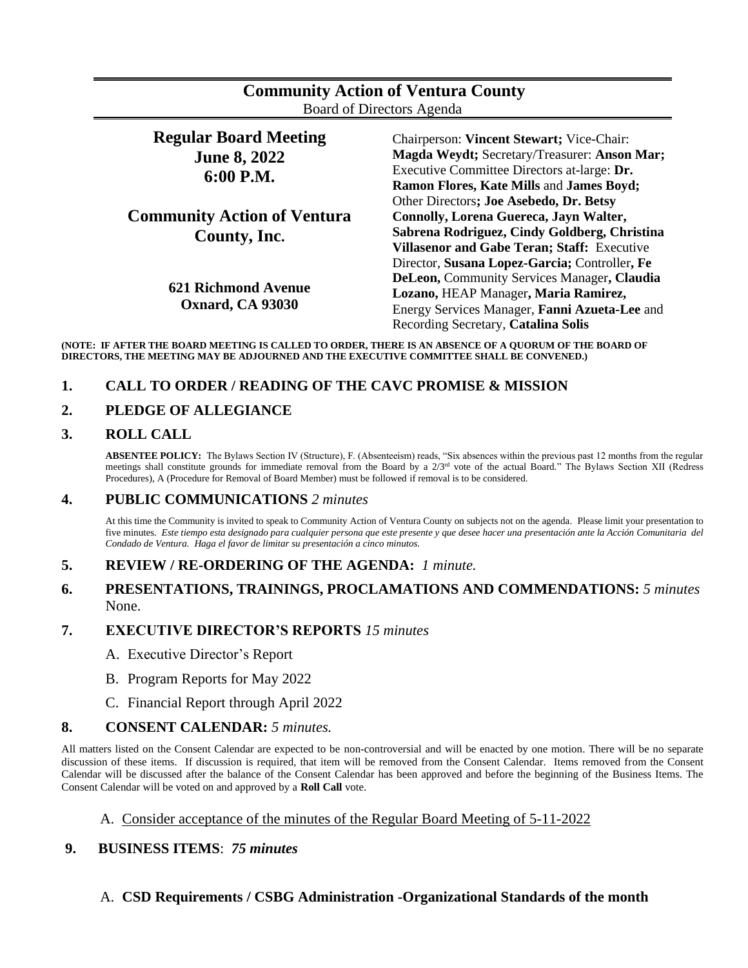| <b>Community Action of Ventura County</b> |
|-------------------------------------------|
| Board of Directors Agenda                 |

# **Regular Board Meeting June 8, 2022 6:00 P.M.**

# **Community Action of Ventura County, Inc.**

**621 Richmond Avenue Oxnard, CA 93030**

Chairperson: **Vincent Stewart;** Vice-Chair: **Magda Weydt;** Secretary/Treasurer: **Anson Mar;**  Executive Committee Directors at-large: **Dr. Ramon Flores, Kate Mills** and **James Boyd;**  Other Directors**; Joe Asebedo, Dr. Betsy Connolly, Lorena Guereca, Jayn Walter, Sabrena Rodriguez, Cindy Goldberg, Christina Villasenor and Gabe Teran; Staff:** Executive Director, **Susana Lopez-Garcia;** Controller**, Fe DeLeon,** Community Services Manager**, Claudia Lozano,** HEAP Manager**, Maria Ramirez,**  Energy Services Manager, **Fanni Azueta-Lee** and Recording Secretary, **Catalina Solis**

**(NOTE: IF AFTER THE BOARD MEETING IS CALLED TO ORDER, THERE IS AN ABSENCE OF A QUORUM OF THE BOARD OF DIRECTORS, THE MEETING MAY BE ADJOURNED AND THE EXECUTIVE COMMITTEE SHALL BE CONVENED.)**

### **1. CALL TO ORDER / READING OF THE CAVC PROMISE & MISSION**

#### **2. PLEDGE OF ALLEGIANCE**

#### **3. ROLL CALL**

**ABSENTEE POLICY:** The Bylaws Section IV (Structure), F. (Absenteeism) reads, "Six absences within the previous past 12 months from the regular meetings shall constitute grounds for immediate removal from the Board by a  $2/3<sup>rd</sup>$  vote of the actual Board." The Bylaws Section XII (Redress Procedures), A (Procedure for Removal of Board Member) must be followed if removal is to be considered.

#### **4. PUBLIC COMMUNICATIONS** *2 minutes*

At this time the Community is invited to speak to Community Action of Ventura County on subjects not on the agenda. Please limit your presentation to five minutes. *Este tiempo esta designado para cualquier persona que este presente y que desee hacer una presentación ante la Acción Comunitaria del Condado de Ventura. Haga el favor de limitar su presentación a cinco minutos.*

### **5. REVIEW / RE-ORDERING OF THE AGENDA:** *1 minute.*

### **6. PRESENTATIONS, TRAININGS, PROCLAMATIONS AND COMMENDATIONS:** *5 minutes* None.

#### **7. EXECUTIVE DIRECTOR'S REPORTS** *15 minutes*

- A. Executive Director's Report
- B. Program Reports for May 2022
- C. Financial Report through April 2022

#### **8. CONSENT CALENDAR:** *5 minutes.*

All matters listed on the Consent Calendar are expected to be non-controversial and will be enacted by one motion. There will be no separate discussion of these items. If discussion is required, that item will be removed from the Consent Calendar. Items removed from the Consent Calendar will be discussed after the balance of the Consent Calendar has been approved and before the beginning of the Business Items. The Consent Calendar will be voted on and approved by a **Roll Call** vote.

#### A. Consider acceptance of the minutes of the Regular Board Meeting of 5-11-2022

### **9. BUSINESS ITEMS**: *75 minutes*

### A. **CSD Requirements / CSBG Administration -Organizational Standards of the month**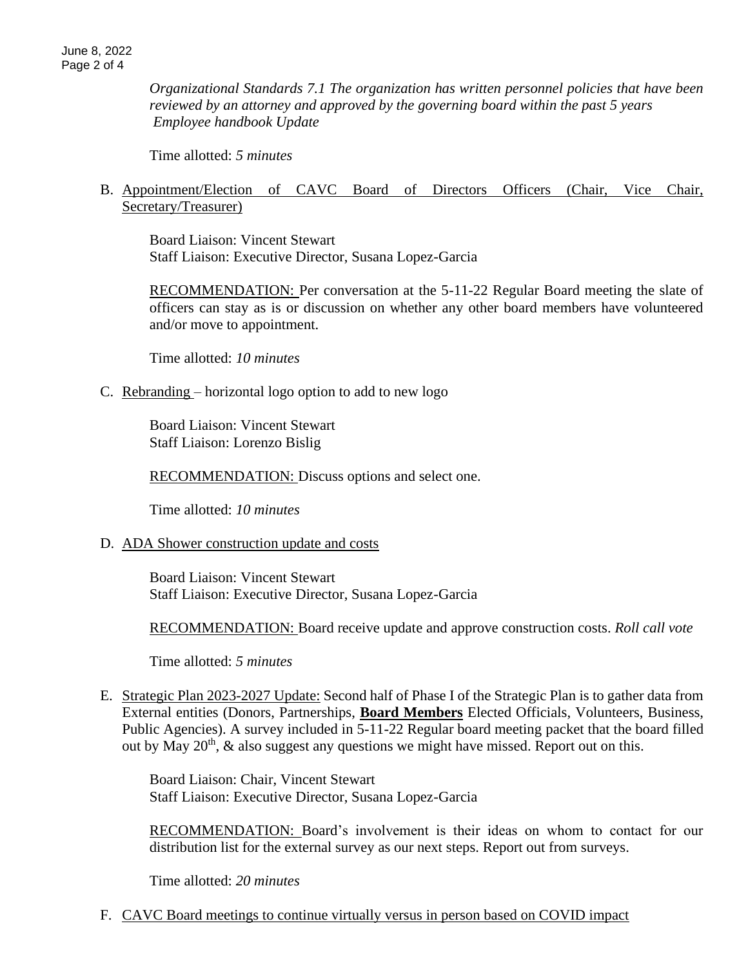*Organizational Standards 7.1 The organization has written personnel policies that have been reviewed by an attorney and approved by the governing board within the past 5 years Employee handbook Update*

Time allotted: *5 minutes*

### B. Appointment/Election of CAVC Board of Directors Officers (Chair, Vice Chair, Secretary/Treasurer)

Board Liaison: Vincent Stewart Staff Liaison: Executive Director, Susana Lopez-Garcia

RECOMMENDATION: Per conversation at the 5-11-22 Regular Board meeting the slate of officers can stay as is or discussion on whether any other board members have volunteered and/or move to appointment.

Time allotted: *10 minutes*

C. Rebranding – horizontal logo option to add to new logo

Board Liaison: Vincent Stewart Staff Liaison: Lorenzo Bislig

RECOMMENDATION: Discuss options and select one.

Time allotted: *10 minutes*

### D. ADA Shower construction update and costs

Board Liaison: Vincent Stewart Staff Liaison: Executive Director, Susana Lopez-Garcia

RECOMMENDATION: Board receive update and approve construction costs. *Roll call vote*

Time allotted: *5 minutes*

E. Strategic Plan 2023-2027 Update: Second half of Phase I of the Strategic Plan is to gather data from External entities (Donors, Partnerships, **Board Members** Elected Officials, Volunteers, Business, Public Agencies). A survey included in 5-11-22 Regular board meeting packet that the board filled out by May  $20<sup>th</sup>$ , & also suggest any questions we might have missed. Report out on this.

Board Liaison: Chair, Vincent Stewart Staff Liaison: Executive Director, Susana Lopez-Garcia

RECOMMENDATION: Board's involvement is their ideas on whom to contact for our distribution list for the external survey as our next steps. Report out from surveys.

Time allotted: *20 minutes*

F. CAVC Board meetings to continue virtually versus in person based on COVID impact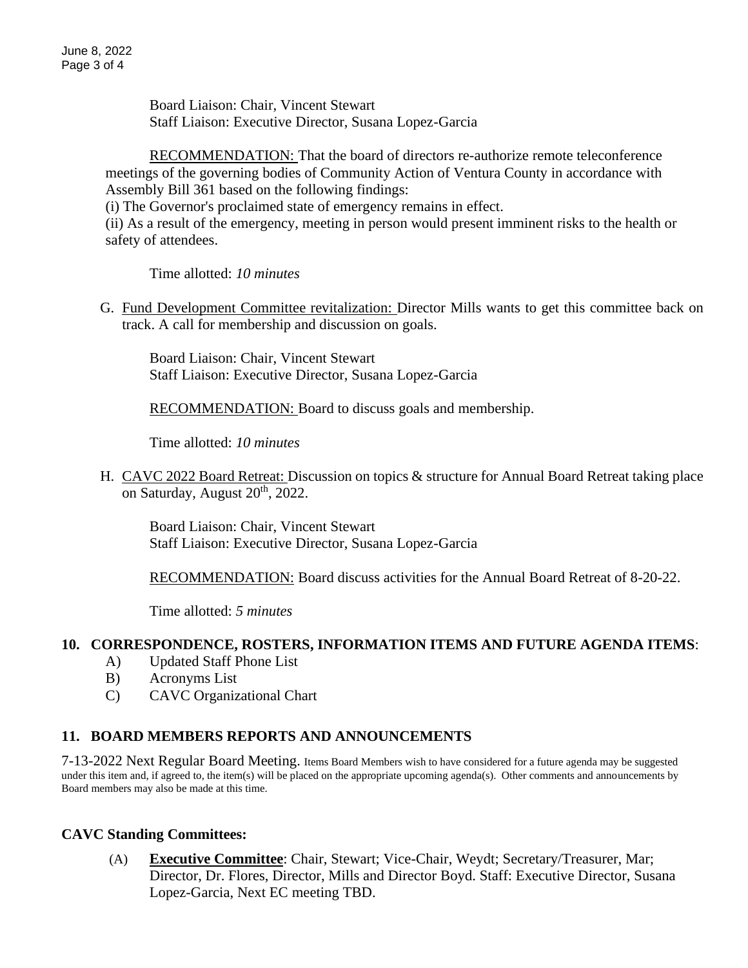June 8, 2022 Page 3 of 4

> Board Liaison: Chair, Vincent Stewart Staff Liaison: Executive Director, Susana Lopez-Garcia

RECOMMENDATION: That the board of directors re-authorize remote teleconference meetings of the governing bodies of Community Action of Ventura County in accordance with Assembly Bill 361 based on the following findings:

(i) The Governor's proclaimed state of emergency remains in effect.

(ii) As a result of the emergency, meeting in person would present imminent risks to the health or safety of attendees.

Time allotted: *10 minutes* 

G. Fund Development Committee revitalization: Director Mills wants to get this committee back on track. A call for membership and discussion on goals.

Board Liaison: Chair, Vincent Stewart Staff Liaison: Executive Director, Susana Lopez-Garcia

RECOMMENDATION: Board to discuss goals and membership.

Time allotted: *10 minutes*

H. CAVC 2022 Board Retreat: Discussion on topics & structure for Annual Board Retreat taking place on Saturday, August 20<sup>th</sup>, 2022.

Board Liaison: Chair, Vincent Stewart Staff Liaison: Executive Director, Susana Lopez-Garcia

RECOMMENDATION: Board discuss activities for the Annual Board Retreat of 8-20-22.

Time allotted: *5 minutes* 

### **10. CORRESPONDENCE, ROSTERS, INFORMATION ITEMS AND FUTURE AGENDA ITEMS**:

- A) Updated Staff Phone List
- B) Acronyms List
- C) CAVC Organizational Chart

# **11. BOARD MEMBERS REPORTS AND ANNOUNCEMENTS**

7-13-2022 Next Regular Board Meeting. Items Board Members wish to have considered for a future agenda may be suggested under this item and, if agreed to, the item(s) will be placed on the appropriate upcoming agenda(s). Other comments and announcements by Board members may also be made at this time.

## **CAVC Standing Committees:**

(A) **Executive Committee**: Chair, Stewart; Vice-Chair, Weydt; Secretary/Treasurer, Mar; Director, Dr. Flores, Director, Mills and Director Boyd. Staff: Executive Director, Susana Lopez-Garcia, Next EC meeting TBD.